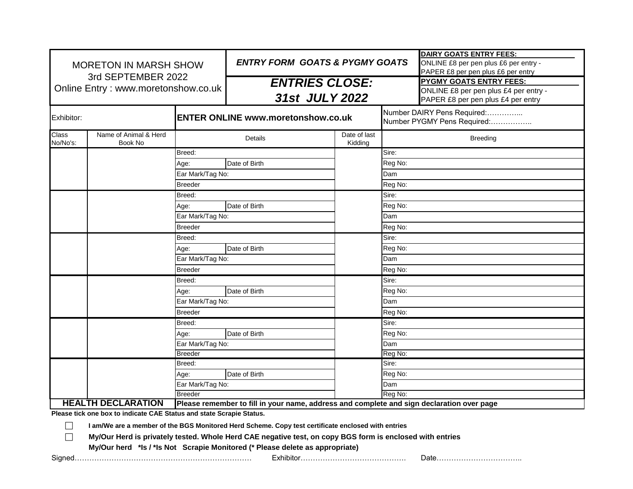| <b>MORETON IN MARSH SHOW</b><br>3rd SEPTEMBER 2022<br>Online Entry: www.moretonshow.co.uk |                                                                      |                  | <b>ENTRY FORM GOATS &amp; PYGMY GOATS</b>                                                                                                                                                                                                                                                      |                         | <b>DAIRY GOATS ENTRY FEES:</b><br>ONLINE £8 per pen plus £6 per entry -<br>PAPER £8 per pen plus £6 per entry |                                |
|-------------------------------------------------------------------------------------------|----------------------------------------------------------------------|------------------|------------------------------------------------------------------------------------------------------------------------------------------------------------------------------------------------------------------------------------------------------------------------------------------------|-------------------------|---------------------------------------------------------------------------------------------------------------|--------------------------------|
|                                                                                           |                                                                      |                  | <b>ENTRIES CLOSE:</b><br>31st JULY 2022                                                                                                                                                                                                                                                        |                         |                                                                                                               | <b>PYGMY GOATS ENTRY FEES:</b> |
|                                                                                           |                                                                      |                  |                                                                                                                                                                                                                                                                                                |                         | ONLINE £8 per pen plus £4 per entry -<br>PAPER £8 per pen plus £4 per entry                                   |                                |
| Exhibitor:                                                                                |                                                                      |                  | <b>ENTER ONLINE www.moretonshow.co.uk</b>                                                                                                                                                                                                                                                      |                         | Number DAIRY Pens Required:<br>Number PYGMY Pens Required:                                                    |                                |
| <b>Class</b><br>No/No's:                                                                  | Name of Animal & Herd<br>Book No                                     | Details          |                                                                                                                                                                                                                                                                                                | Date of last<br>Kidding | <b>Breeding</b>                                                                                               |                                |
|                                                                                           |                                                                      | Breed:           |                                                                                                                                                                                                                                                                                                |                         | Sire:                                                                                                         |                                |
|                                                                                           |                                                                      | Age:             | Date of Birth                                                                                                                                                                                                                                                                                  |                         | Reg No:                                                                                                       |                                |
|                                                                                           |                                                                      | Ear Mark/Tag No: |                                                                                                                                                                                                                                                                                                |                         | Dam                                                                                                           |                                |
|                                                                                           |                                                                      | <b>Breeder</b>   |                                                                                                                                                                                                                                                                                                |                         | Reg No:                                                                                                       |                                |
|                                                                                           |                                                                      | Breed:           |                                                                                                                                                                                                                                                                                                |                         | Sire:                                                                                                         |                                |
|                                                                                           |                                                                      | Age:             | Date of Birth                                                                                                                                                                                                                                                                                  |                         | Reg No:                                                                                                       |                                |
|                                                                                           |                                                                      | Ear Mark/Tag No: |                                                                                                                                                                                                                                                                                                |                         | Dam                                                                                                           |                                |
|                                                                                           |                                                                      | <b>Breeder</b>   |                                                                                                                                                                                                                                                                                                |                         | Reg No:                                                                                                       |                                |
|                                                                                           |                                                                      | Breed:           |                                                                                                                                                                                                                                                                                                |                         | Sire:                                                                                                         |                                |
|                                                                                           |                                                                      | Age:             | Date of Birth                                                                                                                                                                                                                                                                                  |                         | Reg No:                                                                                                       |                                |
|                                                                                           |                                                                      | Ear Mark/Tag No: |                                                                                                                                                                                                                                                                                                |                         | Dam                                                                                                           |                                |
|                                                                                           |                                                                      | <b>Breeder</b>   |                                                                                                                                                                                                                                                                                                |                         | Reg No:                                                                                                       |                                |
|                                                                                           |                                                                      | Breed:           |                                                                                                                                                                                                                                                                                                |                         | Sire:                                                                                                         |                                |
|                                                                                           |                                                                      | Age:             | Date of Birth                                                                                                                                                                                                                                                                                  |                         | Reg No:                                                                                                       |                                |
|                                                                                           |                                                                      | Ear Mark/Tag No: |                                                                                                                                                                                                                                                                                                |                         | Dam                                                                                                           |                                |
|                                                                                           | <b>Breeder</b>                                                       |                  |                                                                                                                                                                                                                                                                                                |                         | Reg No:                                                                                                       |                                |
|                                                                                           |                                                                      | Breed:           |                                                                                                                                                                                                                                                                                                |                         | Sire:                                                                                                         |                                |
|                                                                                           |                                                                      | Age:             | Date of Birth                                                                                                                                                                                                                                                                                  |                         | Reg No:                                                                                                       |                                |
|                                                                                           |                                                                      |                  | Ear Mark/Tag No:                                                                                                                                                                                                                                                                               |                         | Dam                                                                                                           |                                |
|                                                                                           |                                                                      | <b>Breeder</b>   |                                                                                                                                                                                                                                                                                                |                         | Reg No:                                                                                                       |                                |
|                                                                                           |                                                                      | Breed:           |                                                                                                                                                                                                                                                                                                |                         | Sire:                                                                                                         |                                |
|                                                                                           |                                                                      | Age:             | Date of Birth                                                                                                                                                                                                                                                                                  |                         | Reg No:                                                                                                       |                                |
|                                                                                           |                                                                      | Ear Mark/Tag No: |                                                                                                                                                                                                                                                                                                |                         | Dam                                                                                                           |                                |
|                                                                                           | <b>Breeder</b>                                                       |                  |                                                                                                                                                                                                                                                                                                |                         | Reg No:                                                                                                       |                                |
|                                                                                           | <b>HEALTH DECLARATION</b>                                            |                  | Please remember to fill in your name, address and complete and sign declaration over page                                                                                                                                                                                                      |                         |                                                                                                               |                                |
| $\vert \ \ \vert$<br>$\Box$                                                               | Please tick one box to indicate CAE Status and state Scrapie Status. |                  | I am/We are a member of the BGS Monitored Herd Scheme. Copy test certificate enclosed with entries<br>My/Our Herd is privately tested. Whole Herd CAE negative test, on copy BGS form is enclosed with entries<br>My/Our herd *Is / *Is Not Scrapie Monitored (* Please delete as appropriate) |                         |                                                                                                               |                                |
|                                                                                           |                                                                      |                  |                                                                                                                                                                                                                                                                                                |                         |                                                                                                               |                                |